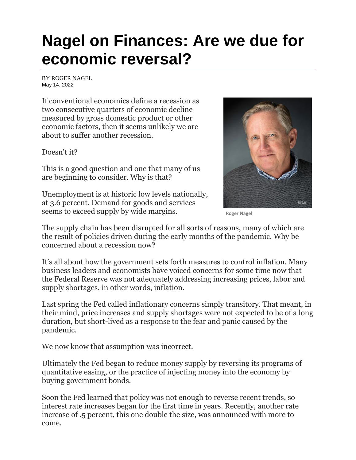## **Nagel on Finances: Are we due for economic reversal?**

BY [ROGER NAGEL](https://www.abqjournal.com/author/aduncan) May 14, 2022

If conventional economics define a recession as two consecutive quarters of economic decline measured by gross domestic product or other economic factors, then it seems unlikely we are about to suffer another recession.

Doesn't it?

This is a good question and one that many of us are beginning to consider. Why is that?

Unemployment is at historic low levels nationally, at 3.6 percent. Demand for goods and services seems to exceed supply by wide margins.



**Roger Nagel**

The supply chain has been disrupted for all sorts of reasons, many of which are the result of policies driven during the early months of the pandemic. Why be concerned about a recession now?

It's all about how the government sets forth measures to control inflation. Many business leaders and economists have voiced concerns for some time now that the Federal Reserve was not adequately addressing increasing prices, labor and supply shortages, in other words, inflation.

Last spring the Fed called inflationary concerns simply transitory. That meant, in their mind, price increases and supply shortages were not expected to be of a long duration, but short-lived as a response to the fear and panic caused by the pandemic.

We now know that assumption was incorrect.

Ultimately the Fed began to reduce money supply by reversing its programs of quantitative easing, or the practice of injecting money into the economy by buying government bonds.

Soon the Fed learned that policy was not enough to reverse recent trends, so interest rate increases began for the first time in years. Recently, another rate increase of .5 percent, this one double the size, was announced with more to come.